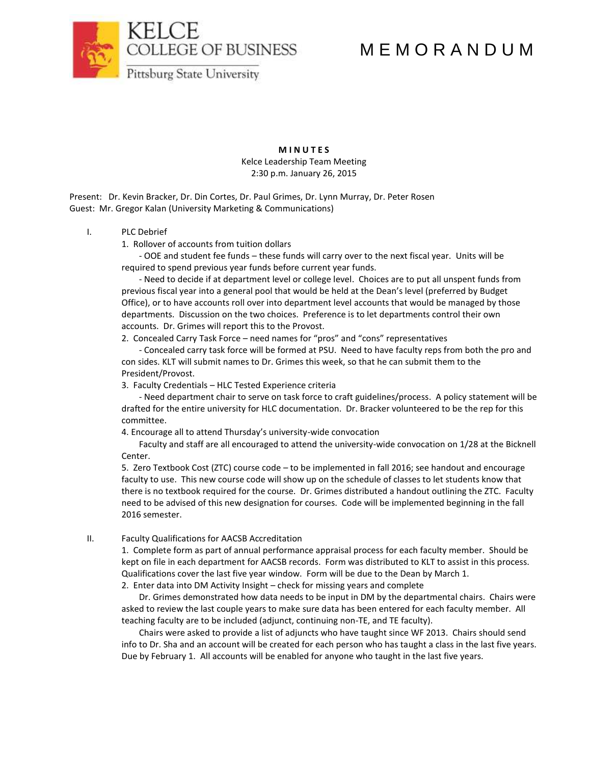COLLEGE OF BUSINESS

# M E M O R A N D U M



**M I N U T E S** Kelce Leadership Team Meeting 2:30 p.m. January 26, 2015

Present: Dr. Kevin Bracker, Dr. Din Cortes, Dr. Paul Grimes, Dr. Lynn Murray, Dr. Peter Rosen Guest: Mr. Gregor Kalan (University Marketing & Communications)

#### I. PLC Debrief

1. Rollover of accounts from tuition dollars

- OOE and student fee funds – these funds will carry over to the next fiscal year. Units will be required to spend previous year funds before current year funds.

- Need to decide if at department level or college level. Choices are to put all unspent funds from previous fiscal year into a general pool that would be held at the Dean's level (preferred by Budget Office), or to have accounts roll over into department level accounts that would be managed by those departments. Discussion on the two choices. Preference is to let departments control their own accounts. Dr. Grimes will report this to the Provost.

2. Concealed Carry Task Force – need names for "pros" and "cons" representatives

- Concealed carry task force will be formed at PSU. Need to have faculty reps from both the pro and con sides. KLT will submit names to Dr. Grimes this week, so that he can submit them to the President/Provost.

3. Faculty Credentials – HLC Tested Experience criteria

- Need department chair to serve on task force to craft guidelines/process. A policy statement will be drafted for the entire university for HLC documentation. Dr. Bracker volunteered to be the rep for this committee.

4. Encourage all to attend Thursday's university-wide convocation

Faculty and staff are all encouraged to attend the university-wide convocation on 1/28 at the Bicknell Center.

5. Zero Textbook Cost (ZTC) course code – to be implemented in fall 2016; see handout and encourage faculty to use. This new course code will show up on the schedule of classes to let students know that there is no textbook required for the course. Dr. Grimes distributed a handout outlining the ZTC. Faculty need to be advised of this new designation for courses. Code will be implemented beginning in the fall 2016 semester.

### II. Faculty Qualifications for AACSB Accreditation

1. Complete form as part of annual performance appraisal process for each faculty member. Should be kept on file in each department for AACSB records. Form was distributed to KLT to assist in this process. Qualifications cover the last five year window. Form will be due to the Dean by March 1.

2. Enter data into DM Activity Insight – check for missing years and complete

Dr. Grimes demonstrated how data needs to be input in DM by the departmental chairs. Chairs were asked to review the last couple years to make sure data has been entered for each faculty member. All teaching faculty are to be included (adjunct, continuing non-TE, and TE faculty).

Chairs were asked to provide a list of adjuncts who have taught since WF 2013. Chairs should send info to Dr. Sha and an account will be created for each person who has taught a class in the last five years. Due by February 1. All accounts will be enabled for anyone who taught in the last five years.